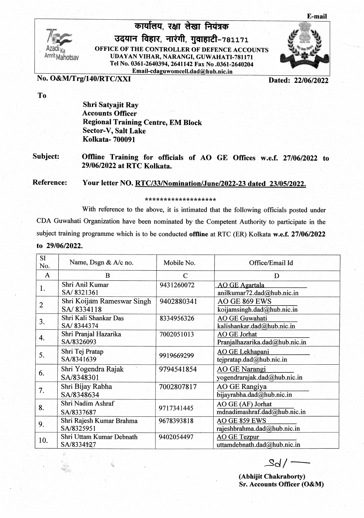

कार्यालय. रक्षा लेखा नियंत्रक उदयान विहार, नारंगी, गुवाहाटी-781171 OFFICE OF THE CONTROLLER OF DEFENCE ACCOUNTS UDAYAN VIHAR, NARANGI, GUWAHATI-781171 Tel No. 0361-2640394, 2641142 Fax No .0361-2640204 Email-cdaguwomcell.dad@hub.nic.in



No. O&M/Trg/140/RTC/XXI

Dated: 22/06/2022

## To

Shri Satyajit Ray Accounts Officer Regional Training Centre, EM Block Sector-V, Salt Lake Kolkata- 700091

Subject: Offline Training for officials of AO GE Offices w.e.f. 27/06/2022 to 29/06/2022 at RTC Kolkata

Reference: Your letter NO. RTC/33/Nomination/June/2022-23 dated 23/05/2022.

## \*\*\*\*\*\*\*\*\*\*\*\*\*\*\*\*

With reference to the above, it is intimated that the following officials posted under CDA Guwahati Organization have been nominated by the Competent Authority to participate in the subject training programme which is to be conducted offline at RTC (ER) Kolkata w.e.f. 27/06/2022 to 29/06/2022

| S1<br>No.    | Name, Dsgn & A/c no.                     | Mobile No. | Office/Email Id                                       |
|--------------|------------------------------------------|------------|-------------------------------------------------------|
| $\mathbf{A}$ | B                                        | C          | D                                                     |
| 1.           | Shri Anil Kumar<br>SA/8321361            | 9431260072 | <b>AO GE Agartala</b><br>anilkumar72.dad@hub.nic.in   |
| 2            | Shri Koijam Rameswar Singh<br>SA/8334118 | 9402880341 | AO GE 869 EWS<br>koijamsingh.dad@hub.nic.in           |
| 3.           | Shri Kali Shankar Das<br>SA/8344374      | 8334956326 | <b>AO GE Guwahati</b><br>kalishankar.dad@hub.nic.in   |
| 4.           | Shri Pranjal Hazarika<br>SA/8326093      | 7002051013 | <b>AO GE Jorhat</b><br>Pranjalhazarika.dad@hub.nic.in |
| 5.           | Shri Tej Pratap<br>SA/8341639            | 9919669299 | <b>AO</b> GE Lekhapani<br>tejpratap.dad@hub.nic.in    |
| 6.           | Shri Yogendra Rajak<br>SA/8348301        | 9794541854 | <b>AO GE Narangi</b><br>yogendrarajak.dad@hub.nic.in  |
| 7.           | Shri Bijay Rabha<br>SA/8348634           | 7002807817 | <b>AO GE Rangiya</b><br>bijayrabha.dad@hub.nic.in     |
| 8.           | Shri Nadim Ashraf<br>SA/8337687          | 9717341445 | AO GE (AF) Jorhat<br>mdnadimashraf.dad@hub.nic.in     |
| 9.           | Shri Rajesh Kumar Brahma<br>SA/8325951   | 9678393818 | AO GE 859 EWS<br>rajeshbrahma.dad@hub.nic.in          |
| 10.          | Shri Uttam Kumar Debnath<br>SA/8334127   | 9402054497 | <b>AO GE Tezpur</b><br>uttamdebnath.dad@hub.nic.in    |

 $Sd/-$ 

(Abhijit Chakraborty) **Sr. Accounts Officer (O&M)**